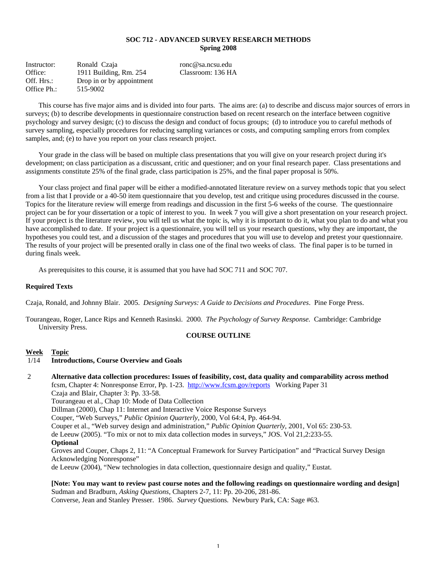## **SOC 712 - ADVANCED SURVEY RESEARCH METHODS Spring 2008**

Instructor: Ronald Czaja ronc@sa.ncsu.edu Office: 1911 Building, Rm. 254 Classroom: 136 HA Off. Hrs.: Drop in or by appointment Office Ph.: 515-9002

 This course has five major aims and is divided into four parts. The aims are: (a) to describe and discuss major sources of errors in surveys; (b) to describe developments in questionnaire construction based on recent research on the interface between cognitive psychology and survey design; (c) to discuss the design and conduct of focus groups; (d) to introduce you to careful methods of survey sampling, especially procedures for reducing sampling variances or costs, and computing sampling errors from complex samples, and; (e) to have you report on your class research project.

 Your grade in the class will be based on multiple class presentations that you will give on your research project during it's development; on class participation as a discussant, critic and questioner; and on your final research paper. Class presentations and assignments constitute 25% of the final grade, class participation is 25%, and the final paper proposal is 50%.

 Your class project and final paper will be either a modified-annotated literature review on a survey methods topic that you select from a list that I provide or a 40-50 item questionnaire that you develop, test and critique using procedures discussed in the course. Topics for the literature review will emerge from readings and discussion in the first 5-6 weeks of the course. The questionnaire project can be for your dissertation or a topic of interest to you. In week 7 you will give a short presentation on your research project. If your project is the literature review, you will tell us what the topic is, why it is important to do it, what you plan to do and what you have accomplished to date. If your project is a questionnaire, you will tell us your research questions, why they are important, the hypotheses you could test, and a discussion of the stages and procedures that you will use to develop and pretest your questionnaire. The results of your project will be presented orally in class one of the final two weeks of class. The final paper is to be turned in during finals week.

As prerequisites to this course, it is assumed that you have had SOC 711 and SOC 707.

## **Required Texts**

Czaja, Ronald, and Johnny Blair. 2005. *Designing Surveys: A Guide to Decisions and Procedures*. Pine Forge Press.

Tourangeau, Roger, Lance Rips and Kenneth Rasinski. 2000. *The Psychology of Survey Response.* Cambridge: Cambridge University Press.

### **COURSE OUTLINE**

### **Week Topic**

## 1/14 **Introductions, Course Overview and Goals**

 2 **Alternative data collection procedures: Issues of feasibility, cost, data quality and comparability across method** fcsm, Chapter 4: Nonresponse Error, Pp. 1-23. http://www.fcsm.gov/reports Working Paper 31 Czaja and Blair, Chapter 3: Pp. 33-58. Tourangeau et al., Chap 10: Mode of Data Collection Dillman (2000), Chap 11: Internet and Interactive Voice Response Surveys Couper, "Web Surveys," *Public Opinion Quarterly*, 2000, Vol 64:4, Pp. 464-94. Couper et al., "Web survey design and administration," *Public Opinion Quarterly*, 2001, Vol 65: 230-53. de Leeuw (2005). "To mix or not to mix data collection modes in surveys," JOS. Vol 21,2:233-55. **Optional**  Groves and Couper, Chaps 2, 11: "A Conceptual Framework for Survey Participation" and "Practical Survey Design Acknowledging Nonresponse"

de Leeuw (2004), "New technologies in data collection, questionnaire design and quality," Eustat.

**[Note: You may want to review past course notes and the following readings on questionnaire wording and design]**  Sudman and Bradburn, *Asking Questions*, Chapters 2-7, 11: Pp. 20-206, 281-86. Converse, Jean and Stanley Presser. 1986. *Survey* Questions*.* Newbury Park, CA: Sage #63.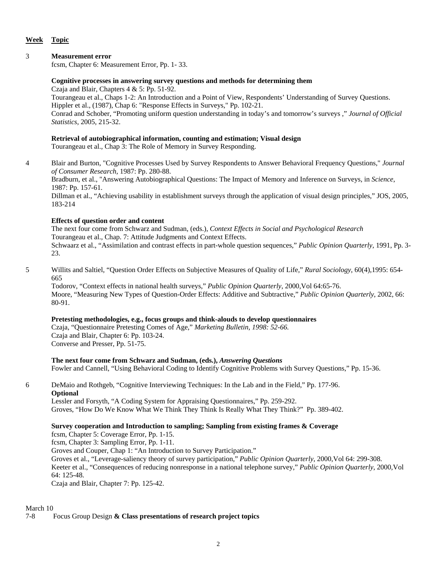# **Week Topic**

# 3 **Measurement error**

fcsm, Chapter 6: Measurement Error, Pp. 1- 33.

# **Cognitive processes in answering survey questions and methods for determining them**

Czaja and Blair, Chapters 4 & 5: Pp. 51-92.

 Tourangeau et al., Chaps 1-2: An Introduction and a Point of View, Respondents' Understanding of Survey Questions. Hippler et al., (1987), Chap 6: "Response Effects in Surveys," Pp. 102-21.

Conrad and Schober, "Promoting uniform question understanding in today's and tomorrow's surveys ," *Journal of Official Statistics*, 2005, 215-32.

# **Retrieval of autobiographical information, counting and estimation; Visual design**

Tourangeau et al., Chap 3: The Role of Memory in Survey Responding.

4 Blair and Burton, "Cognitive Processes Used by Survey Respondents to Answer Behavioral Frequency Questions," *Journal of Consumer Research*, 1987: Pp. 280-88.

Bradburn, et al., "Answering Autobiographical Questions: The Impact of Memory and Inference on Surveys, in *Science*, 1987: Pp. 157-61.

Dillman et al., "Achieving usability in establishment surveys through the application of visual design principles," JOS, 2005, 183-214

# **Effects of question order and content**

 The next four come from Schwarz and Sudman, (eds.), *Context Effects in Social and Psychological Research* Tourangeau et al., Chap. 7: Attitude Judgments and Context Effects. Schwaarz et al., "Assimilation and contrast effects in part-whole question sequences," *Public Opinion Quarterly*, 1991, Pp. 3-

23.

5 Willits and Saltiel, "Question Order Effects on Subjective Measures of Quality of Life," *Rural Sociology*, 60(4),1995: 654- 665

 Todorov, "Context effects in national health surveys," *Public Opinion Quarterly*, 2000,Vol 64:65-76. Moore, "Measuring New Types of Question-Order Effects: Additive and Subtractive," *Public Opinion Quarterly*, 2002, 66: 80-91.

# **Pretesting methodologies, e.g., focus groups and think-alouds to develop questionnaires**

Czaja, "Questionnaire Pretesting Comes of Age," *Marketing Bulletin, 1998: 52-66.* Czaja and Blair, Chapter 6: Pp. 103-24. Converse and Presser, Pp. 51-75.

# **The next four come from Schwarz and Sudman, (eds.),** *Answering Questions*

Fowler and Cannell, "Using Behavioral Coding to Identify Cognitive Problems with Survey Questions," Pp. 15-36.

6 DeMaio and Rothgeb, "Cognitive Interviewing Techniques: In the Lab and in the Field," Pp. 177-96. **Optional**

 Lessler and Forsyth, "A Coding System for Appraising Questionnaires," Pp. 259-292. Groves, "How Do We Know What We Think They Think Is Really What They Think?" Pp. 389-402.

# **Survey cooperation and Introduction to sampling; Sampling from existing frames & Coverage**

fcsm, Chapter 5: Coverage Error, Pp. 1-15.

fcsm, Chapter 3: Sampling Error, Pp. 1-11.

Groves and Couper, Chap 1: "An Introduction to Survey Participation."

 Groves et al., "Leverage-saliency theory of survey participation," *Public Opinion Quarterly*, 2000,Vol 64: 299-308. Keeter et al., "Consequences of reducing nonresponse in a national telephone survey," *Public Opinion Quarterly*, 2000,Vol 64: 125-48.

Czaja and Blair, Chapter 7: Pp. 125-42.

7-8 Focus Group Design **& Class presentations of research project topics**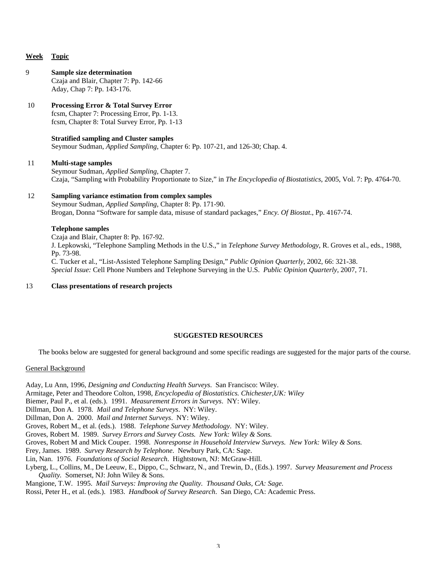## **Week Topic**

## 9 **Sample size determination**  Czaja and Blair, Chapter 7: Pp. 142-66 Aday, Chap 7: Pp. 143-176.

# 10 **Processing Error & Total Survey Error**

 fcsm, Chapter 7: Processing Error, Pp. 1-13. fcsm, Chapter 8: Total Survey Error, Pp. 1-13

# **Stratified sampling and Cluster samples**

Seymour Sudman, *Applied Sampling*, Chapter 6: Pp. 107-21, and 126-30; Chap. 4.

### 11 **Multi-stage samples**

 Seymour Sudman, *Applied Sampling*, Chapter 7. Czaja, "Sampling with Probability Proportionate to Size," in *The Encyclopedia of Biostatistics*, 2005, Vol. 7: Pp. 4764-70.

# 12 **Sampling variance estimation from complex samples**

Seymour Sudman, *Applied Sampling*, Chapter 8: Pp. 171-90. Brogan, Donna "Software for sample data, misuse of standard packages," *Ency. Of Biostat*., Pp. 4167-74.

## **Telephone samples**

 Czaja and Blair, Chapter 8: Pp. 167-92. J. Lepkowski, "Telephone Sampling Methods in the U.S.," in *Telephone Survey Methodology*, R. Groves et al., eds., 1988, Pp. 73-98. C. Tucker et al., "List-Assisted Telephone Sampling Design," *Public Opinion Quarterly*, 2002, 66: 321-38. *Special Issue:* Cell Phone Numbers and Telephone Surveying in the U.S. *Public Opinion Quarterly*, 2007, 71.

## 13 **Class presentations of research projects**

# **SUGGESTED RESOURCES**

The books below are suggested for general background and some specific readings are suggested for the major parts of the course.

### General Background

Aday, Lu Ann, 1996, *Designing and Conducting Health Surveys*. San Francisco: Wiley.

- Armitage, Peter and Theodore Colton, 1998, *Encyclopedia of Biostatistics. Chichester,UK: Wiley*
- Biemer, Paul P., et al. (eds.). 1991. *Measurement Errors in Surveys*. NY: Wiley.

Dillman, Don A. 1978. *Mail and Telephone Surveys*. NY: Wiley.

- Dillman, Don A. 2000. *Mail and Internet Surveys*. NY: Wiley.
- Groves, Robert M., et al. (eds.). 1988. *Telephone Survey Methodology*. NY: Wiley.

Groves, Robert M. 1989. *Survey Errors and Survey Costs. New York: Wiley & Sons.*

- Groves, Robert M and Mick Couper. 1998. *Nonresponse in Household Interview Surveys. New York: Wiley & Sons.*
- Frey, James. 1989. *Survey Research by Telephone*. Newbury Park, CA: Sage.

Lin, Nan. 1976. *Foundations of Social Research*. Hightstown, NJ: McGraw-Hill.

Lyberg, L., Collins, M., De Leeuw, E., Dippo, C., Schwarz, N., and Trewin, D., (Eds.). 1997. *Survey Measurement and Process Quality.* Somerset, NJ: John Wiley & Sons.

Mangione, T.W. 1995. *Mail Surveys: Improving the Quality. Thousand Oaks, CA: Sage.*

Rossi, Peter H., et al. (eds.). 1983. *Handbook of Survey Research*. San Diego, CA: Academic Press.